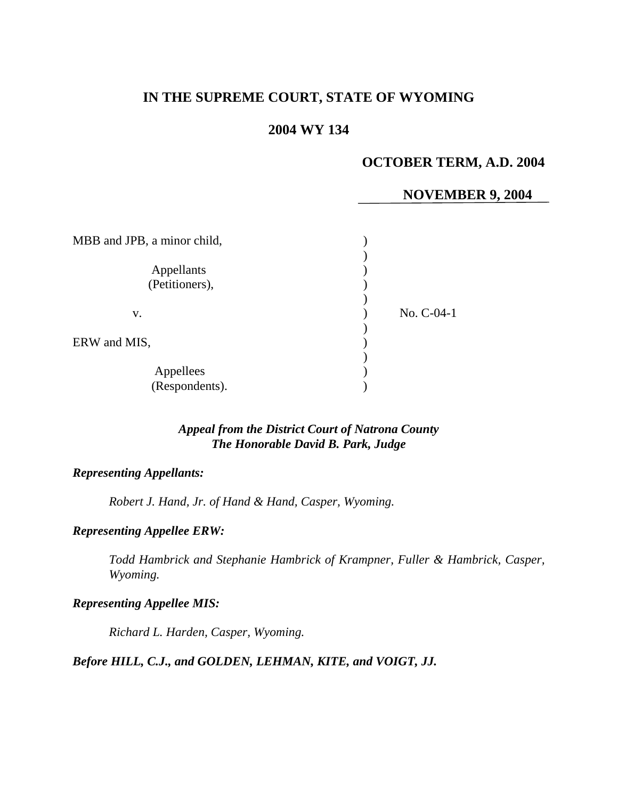# **IN THE SUPREME COURT, STATE OF WYOMING**

# **2004 WY 134**

# **OCTOBER TERM, A.D. 2004**

# **NOVEMBER 9, 2004**

| MBB and JPB, a minor child,  |              |
|------------------------------|--------------|
| Appellants<br>(Petitioners), |              |
| v.                           | $No. C-04-1$ |
| ERW and MIS,                 |              |
| Appellees<br>(Respondents).  |              |

# *Appeal from the District Court of Natrona County The Honorable David B. Park, Judge*

#### *Representing Appellants:*

*Robert J. Hand, Jr. of Hand & Hand, Casper, Wyoming.* 

### *Representing Appellee ERW:*

*Todd Hambrick and Stephanie Hambrick of Krampner, Fuller & Hambrick, Casper, Wyoming.* 

#### *Representing Appellee MIS:*

*Richard L. Harden, Casper, Wyoming.* 

#### *Before HILL, C.J., and GOLDEN, LEHMAN, KITE, and VOIGT, JJ.*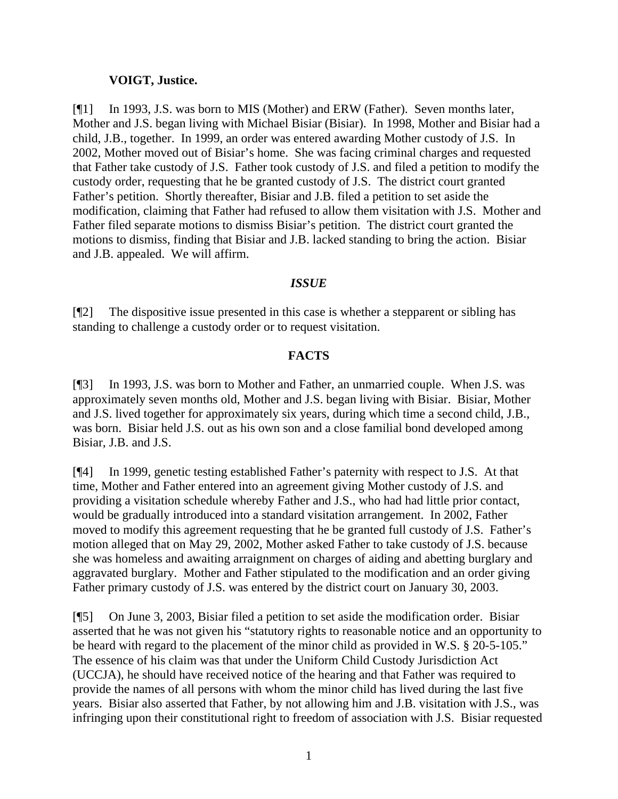### **VOIGT, Justice.**

[¶1] In 1993, J.S. was born to MIS (Mother) and ERW (Father). Seven months later, Mother and J.S. began living with Michael Bisiar (Bisiar). In 1998, Mother and Bisiar had a child, J.B., together. In 1999, an order was entered awarding Mother custody of J.S. In 2002, Mother moved out of Bisiar's home. She was facing criminal charges and requested that Father take custody of J.S. Father took custody of J.S. and filed a petition to modify the custody order, requesting that he be granted custody of J.S. The district court granted Father's petition. Shortly thereafter, Bisiar and J.B. filed a petition to set aside the modification, claiming that Father had refused to allow them visitation with J.S. Mother and Father filed separate motions to dismiss Bisiar's petition. The district court granted the motions to dismiss, finding that Bisiar and J.B. lacked standing to bring the action. Bisiar and J.B. appealed. We will affirm.

### *ISSUE*

[¶2] The dispositive issue presented in this case is whether a stepparent or sibling has standing to challenge a custody order or to request visitation.

## **FACTS**

[¶3] In 1993, J.S. was born to Mother and Father, an unmarried couple. When J.S. was approximately seven months old, Mother and J.S. began living with Bisiar. Bisiar, Mother and J.S. lived together for approximately six years, during which time a second child, J.B., was born. Bisiar held J.S. out as his own son and a close familial bond developed among Bisiar, J.B. and J.S.

[¶4] In 1999, genetic testing established Father's paternity with respect to J.S. At that time, Mother and Father entered into an agreement giving Mother custody of J.S. and providing a visitation schedule whereby Father and J.S., who had had little prior contact, would be gradually introduced into a standard visitation arrangement. In 2002, Father moved to modify this agreement requesting that he be granted full custody of J.S. Father's motion alleged that on May 29, 2002, Mother asked Father to take custody of J.S. because she was homeless and awaiting arraignment on charges of aiding and abetting burglary and aggravated burglary. Mother and Father stipulated to the modification and an order giving Father primary custody of J.S. was entered by the district court on January 30, 2003.

[¶5] On June 3, 2003, Bisiar filed a petition to set aside the modification order. Bisiar asserted that he was not given his "statutory rights to reasonable notice and an opportunity to be heard with regard to the placement of the minor child as provided in W.S. § 20-5-105." The essence of his claim was that under the Uniform Child Custody Jurisdiction Act (UCCJA), he should have received notice of the hearing and that Father was required to provide the names of all persons with whom the minor child has lived during the last five years. Bisiar also asserted that Father, by not allowing him and J.B. visitation with J.S., was infringing upon their constitutional right to freedom of association with J.S. Bisiar requested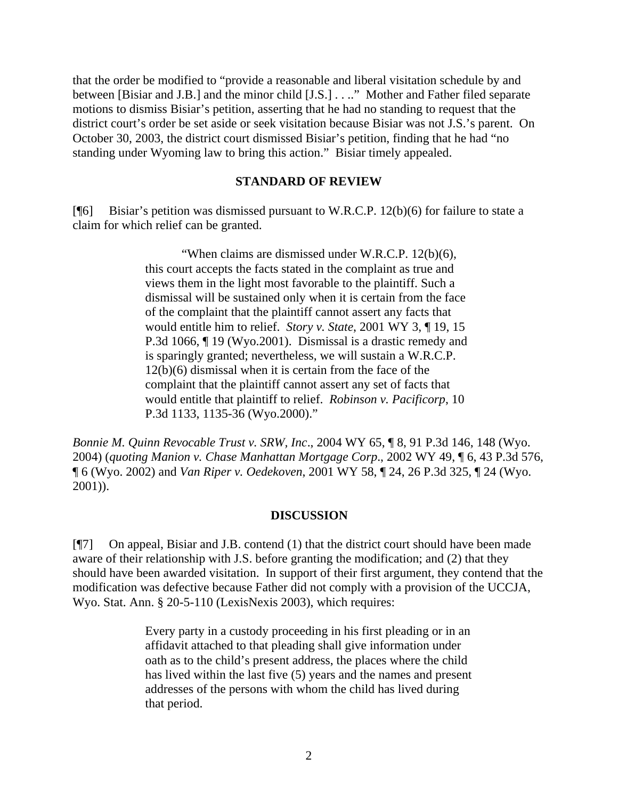that the order be modified to "provide a reasonable and liberal visitation schedule by and between [Bisiar and J.B.] and the minor child [J.S.] . . .." Mother and Father filed separate motions to dismiss Bisiar's petition, asserting that he had no standing to request that the district court's order be set aside or seek visitation because Bisiar was not J.S.'s parent. On October 30, 2003, the district court dismissed Bisiar's petition, finding that he had "no standing under Wyoming law to bring this action." Bisiar timely appealed.

#### **STANDARD OF REVIEW**

[¶6] Bisiar's petition was dismissed pursuant to W.R.C.P. 12(b)(6) for failure to state a claim for which relief can be granted.

> "When claims are dismissed under W.R.C.P. 12(b)(6), this court accepts the facts stated in the complaint as true and views them in the light most favorable to the plaintiff. Such a dismissal will be sustained only when it is certain from the face of the complaint that the plaintiff cannot assert any facts that would entitle him to relief. *Story v. State*, 2001 WY 3, ¶ 19, 15 P.3d 1066, ¶ 19 (Wyo.2001). Dismissal is a drastic remedy and is sparingly granted; nevertheless, we will sustain a W.R.C.P. 12(b)(6) dismissal when it is certain from the face of the complaint that the plaintiff cannot assert any set of facts that would entitle that plaintiff to relief. *Robinson v. Pacificorp*, 10 P.3d 1133, 1135-36 (Wyo.2000)."

*Bonnie M. Quinn Revocable Trust v. SRW, Inc*., 2004 WY 65, ¶ 8, 91 P.3d 146, 148 (Wyo. 2004) (*quoting Manion v. Chase Manhattan Mortgage Corp*., 2002 WY 49, ¶ 6, 43 P.3d 576, ¶ 6 (Wyo. 2002) and *Van Riper v. Oedekoven*, 2001 WY 58, ¶ 24, 26 P.3d 325, ¶ 24 (Wyo. 2001)).

#### **DISCUSSION**

[¶7] On appeal, Bisiar and J.B. contend (1) that the district court should have been made aware of their relationship with J.S. before granting the modification; and (2) that they should have been awarded visitation. In support of their first argument, they contend that the modification was defective because Father did not comply with a provision of the UCCJA, Wyo. Stat. Ann. § 20-5-110 (LexisNexis 2003), which requires:

> Every party in a custody proceeding in his first pleading or in an affidavit attached to that pleading shall give information under oath as to the child's present address, the places where the child has lived within the last five (5) years and the names and present addresses of the persons with whom the child has lived during that period.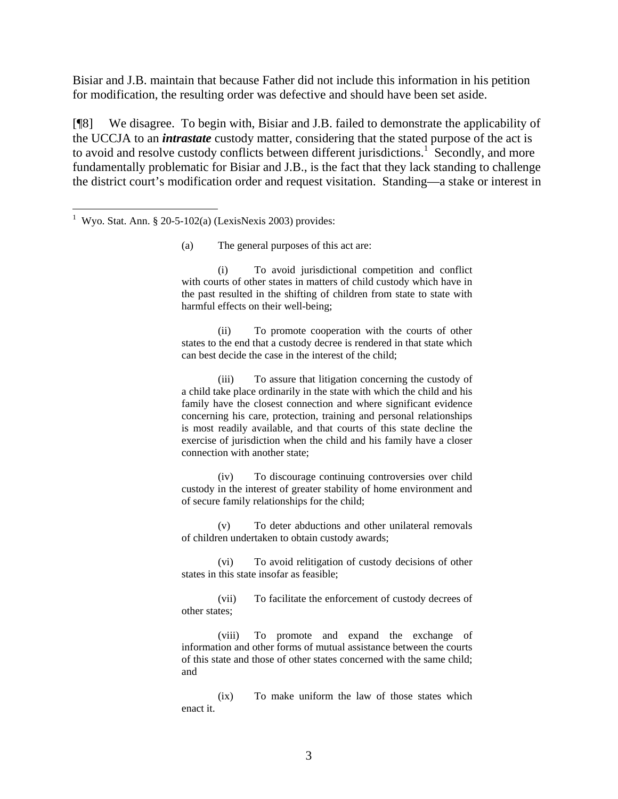Bisiar and J.B. maintain that because Father did not include this information in his petition for modification, the resulting order was defective and should have been set aside.

[¶8] We disagree. To begin with, Bisiar and J.B. failed to demonstrate the applicability of the UCCJA to an *intrastate* custody matter, considering that the stated purpose of the act is to avoid and resolve custody conflicts between different jurisdictions.<sup>1</sup> Secondly, and more fundamentally problematic for Bisiar and J.B., is the fact that they lack standing to challenge the district court's modification order and request visitation. Standing—a stake or interest in

(a) The general purposes of this act are:

(i) To avoid jurisdictional competition and conflict with courts of other states in matters of child custody which have in the past resulted in the shifting of children from state to state with harmful effects on their well-being;

(ii) To promote cooperation with the courts of other states to the end that a custody decree is rendered in that state which can best decide the case in the interest of the child;

(iii) To assure that litigation concerning the custody of a child take place ordinarily in the state with which the child and his family have the closest connection and where significant evidence concerning his care, protection, training and personal relationships is most readily available, and that courts of this state decline the exercise of jurisdiction when the child and his family have a closer connection with another state;

(iv) To discourage continuing controversies over child custody in the interest of greater stability of home environment and of secure family relationships for the child;

(v) To deter abductions and other unilateral removals of children undertaken to obtain custody awards;

(vi) To avoid relitigation of custody decisions of other states in this state insofar as feasible;

(vii) To facilitate the enforcement of custody decrees of other states;

(viii) To promote and expand the exchange of information and other forms of mutual assistance between the courts of this state and those of other states concerned with the same child; and

(ix) To make uniform the law of those states which enact it.

 1 Wyo. Stat. Ann. § 20-5-102(a) (LexisNexis 2003) provides: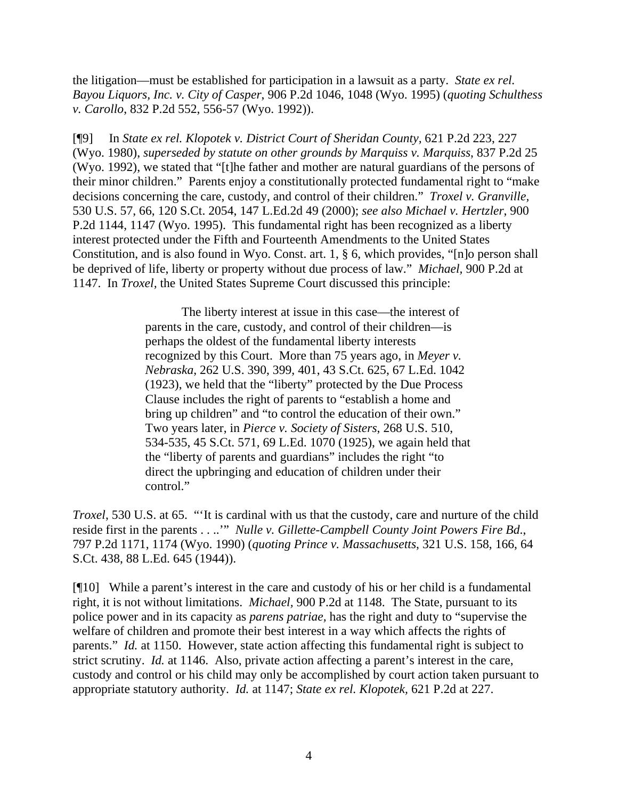the litigation—must be established for participation in a lawsuit as a party. *State ex rel. Bayou Liquors, Inc. v. City of Casper*, 906 P.2d 1046, 1048 (Wyo. 1995) (*quoting Schulthess v. Carollo*, 832 P.2d 552, 556-57 (Wyo. 1992)).

[¶9] In *State ex rel. Klopotek v. District Court of Sheridan County,* 621 P.2d 223, 227 (Wyo. 1980), *superseded by statute on other grounds by Marquiss v. Marquiss*, 837 P.2d 25 (Wyo. 1992), we stated that "[t]he father and mother are natural guardians of the persons of their minor children." Parents enjoy a constitutionally protected fundamental right to "make decisions concerning the care, custody, and control of their children." *Troxel v. Granville,* 530 U.S. 57, 66, 120 S.Ct. 2054, 147 L.Ed.2d 49 (2000); *see also Michael v. Hertzler*, 900 P.2d 1144, 1147 (Wyo. 1995). This fundamental right has been recognized as a liberty interest protected under the Fifth and Fourteenth Amendments to the United States Constitution, and is also found in Wyo. Const. art. 1, § 6, which provides, "[n]o person shall be deprived of life, liberty or property without due process of law." *Michael,* 900 P.2d at 1147. In *Troxel,* the United States Supreme Court discussed this principle:

> The liberty interest at issue in this case—the interest of parents in the care, custody, and control of their children—is perhaps the oldest of the fundamental liberty interests recognized by this Court. More than 75 years ago, in *Meyer v. Nebraska*, 262 U.S. 390, 399, 401, 43 S.Ct. 625, 67 L.Ed. 1042 (1923), we held that the "liberty" protected by the Due Process Clause includes the right of parents to "establish a home and bring up children" and "to control the education of their own." Two years later, in *Pierce v. Society of Sisters*, 268 U.S. 510, 534-535, 45 S.Ct. 571, 69 L.Ed. 1070 (1925), we again held that the "liberty of parents and guardians" includes the right "to direct the upbringing and education of children under their control."

*Troxel*, 530 U.S. at 65. "It is cardinal with us that the custody, care and nurture of the child reside first in the parents . . ..'" *Nulle v. Gillette-Campbell County Joint Powers Fire Bd*., 797 P.2d 1171, 1174 (Wyo. 1990) (*quoting Prince v. Massachusetts*, 321 U.S. 158, 166, 64 S.Ct. 438, 88 L.Ed. 645 (1944)).

[¶10] While a parent's interest in the care and custody of his or her child is a fundamental right, it is not without limitations. *Michael,* 900 P.2d at 1148. The State, pursuant to its police power and in its capacity as *parens patriae,* has the right and duty to "supervise the welfare of children and promote their best interest in a way which affects the rights of parents." *Id.* at 1150. However, state action affecting this fundamental right is subject to strict scrutiny. *Id.* at 1146. Also, private action affecting a parent's interest in the care, custody and control or his child may only be accomplished by court action taken pursuant to appropriate statutory authority. *Id.* at 1147; *State ex rel. Klopotek,* 621 P.2d at 227.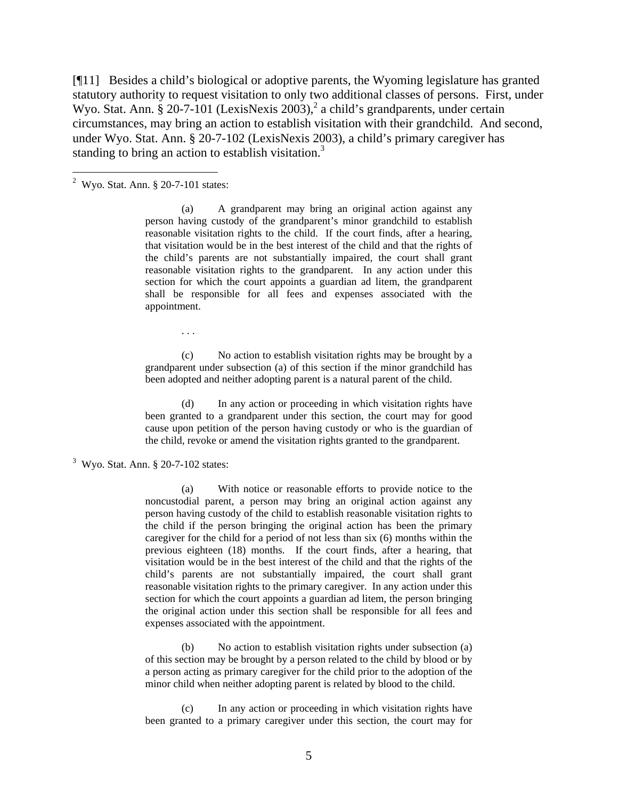[¶11] Besides a child's biological or adoptive parents, the Wyoming legislature has granted statutory authority to request visitation to only two additional classes of persons. First, under Wyo. Stat. Ann. § 20-7-101 (LexisNexis 2003),<sup>2</sup> a child's grandparents, under certain circumstances, may bring an action to establish visitation with their grandchild. And second, under Wyo. Stat. Ann. § 20-7-102 (LexisNexis 2003), a child's primary caregiver has standing to bring an action to establish visitation.<sup>3</sup>

(a) A grandparent may bring an original action against any person having custody of the grandparent's minor grandchild to establish reasonable visitation rights to the child. If the court finds, after a hearing, that visitation would be in the best interest of the child and that the rights of the child's parents are not substantially impaired, the court shall grant reasonable visitation rights to the grandparent. In any action under this section for which the court appoints a guardian ad litem, the grandparent shall be responsible for all fees and expenses associated with the appointment.

. . .

(c) No action to establish visitation rights may be brought by a grandparent under subsection (a) of this section if the minor grandchild has been adopted and neither adopting parent is a natural parent of the child.

(d) In any action or proceeding in which visitation rights have been granted to a grandparent under this section, the court may for good cause upon petition of the person having custody or who is the guardian of the child, revoke or amend the visitation rights granted to the grandparent.

(a) With notice or reasonable efforts to provide notice to the noncustodial parent, a person may bring an original action against any person having custody of the child to establish reasonable visitation rights to the child if the person bringing the original action has been the primary caregiver for the child for a period of not less than six (6) months within the previous eighteen (18) months. If the court finds, after a hearing, that visitation would be in the best interest of the child and that the rights of the child's parents are not substantially impaired, the court shall grant reasonable visitation rights to the primary caregiver. In any action under this section for which the court appoints a guardian ad litem, the person bringing the original action under this section shall be responsible for all fees and expenses associated with the appointment.

(b) No action to establish visitation rights under subsection (a) of this section may be brought by a person related to the child by blood or by a person acting as primary caregiver for the child prior to the adoption of the minor child when neither adopting parent is related by blood to the child.

(c) In any action or proceeding in which visitation rights have been granted to a primary caregiver under this section, the court may for

 2 Wyo. Stat. Ann. § 20-7-101 states:

 $3$  Wyo. Stat. Ann.  $\S 20$ -7-102 states: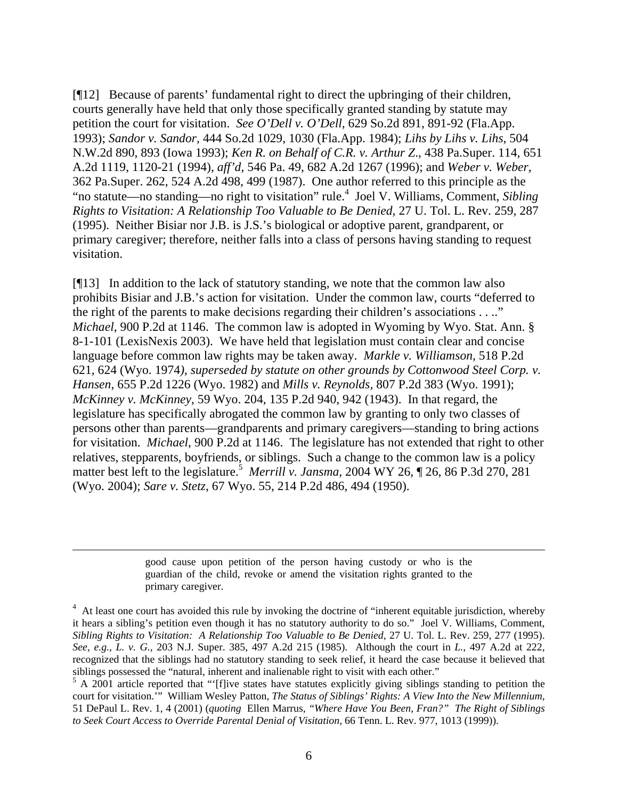[¶12] Because of parents' fundamental right to direct the upbringing of their children, courts generally have held that only those specifically granted standing by statute may petition the court for visitation. *See O'Dell v. O'Dell,* 629 So.2d 891, 891-92 (Fla.App. 1993); *Sandor v. Sandor,* 444 So.2d 1029, 1030 (Fla.App. 1984); *Lihs by Lihs v. Lihs*, 504 N.W.2d 890, 893 (Iowa 1993); *Ken R. on Behalf of C.R. v. Arthur Z*., 438 Pa.Super. 114, 651 A.2d 1119, 1120-21 (1994), *aff'd*, 546 Pa. 49, 682 A.2d 1267 (1996); and *Weber v. Weber*, 362 Pa.Super. 262, 524 A.2d 498, 499 (1987). One author referred to this principle as the "no statute—no standing—no right to visitation" rule. 4 Joel V. Williams, Comment, *Sibling Rights to Visitation: A Relationship Too Valuable to Be Denied,* 27 U. Tol. L. Rev. 259, 287 (1995). Neither Bisiar nor J.B. is J.S.'s biological or adoptive parent, grandparent, or primary caregiver; therefore, neither falls into a class of persons having standing to request visitation.

[¶13] In addition to the lack of statutory standing, we note that the common law also prohibits Bisiar and J.B.'s action for visitation. Under the common law, courts "deferred to the right of the parents to make decisions regarding their children's associations . . .." *Michael*, 900 P.2d at 1146. The common law is adopted in Wyoming by Wyo. Stat. Ann. § 8-1-101 (LexisNexis 2003). We have held that legislation must contain clear and concise language before common law rights may be taken away. *Markle v. Williamson,* 518 P.2d 621, 624 (Wyo. 1974*)*, *superseded by statute on other grounds by Cottonwood Steel Corp. v. Hansen*, 655 P.2d 1226 (Wyo. 1982) and *Mills v. Reynolds*, 807 P.2d 383 (Wyo. 1991); *McKinney v. McKinney*, 59 Wyo. 204, 135 P.2d 940, 942 (1943). In that regard, the legislature has specifically abrogated the common law by granting to only two classes of persons other than parents—grandparents and primary caregivers—standing to bring actions for visitation. *Michael*, 900 P.2d at 1146. The legislature has not extended that right to other relatives, stepparents, boyfriends, or siblings. Such a change to the common law is a policy matter best left to the legislature.<sup>5</sup> Merrill v. Jansma, 2004 WY 26, ¶ 26, 86 P.3d 270, 281 (Wyo. 2004); *Sare v. Stetz*, 67 Wyo. 55, 214 P.2d 486, 494 (1950).

> good cause upon petition of the person having custody or who is the guardian of the child, revoke or amend the visitation rights granted to the primary caregiver.

 $\overline{a}$ 

<sup>&</sup>lt;sup>4</sup> At least one court has avoided this rule by invoking the doctrine of "inherent equitable jurisdiction, whereby it hears a sibling's petition even though it has no statutory authority to do so." Joel V. Williams, Comment, *Sibling Rights to Visitation: A Relationship Too Valuable to Be Denied,* 27 U. Tol. L. Rev. 259, 277 (1995). *See, e.g., L. v. G.,* 203 N.J. Super. 385, 497 A.2d 215 (1985). Although the court in *L.*, 497 A.2d at 222, recognized that the siblings had no statutory standing to seek relief, it heard the case because it believed that siblings possessed the "natural, inherent and inalienable right to visit with each other."

 $5$  A 2001 article reported that "[f]ive states have statutes explicitly giving siblings standing to petition the court for visitation.'" William Wesley Patton, *The Status of Siblings' Rights: A View Into the New Millennium,* 51 DePaul L. Rev. 1, 4 (2001) (*quoting* Ellen Marrus, *"Where Have You Been, Fran?" The Right of Siblings to Seek Court Access to Override Parental Denial of Visitation,* 66 Tenn. L. Rev. 977, 1013 (1999)).